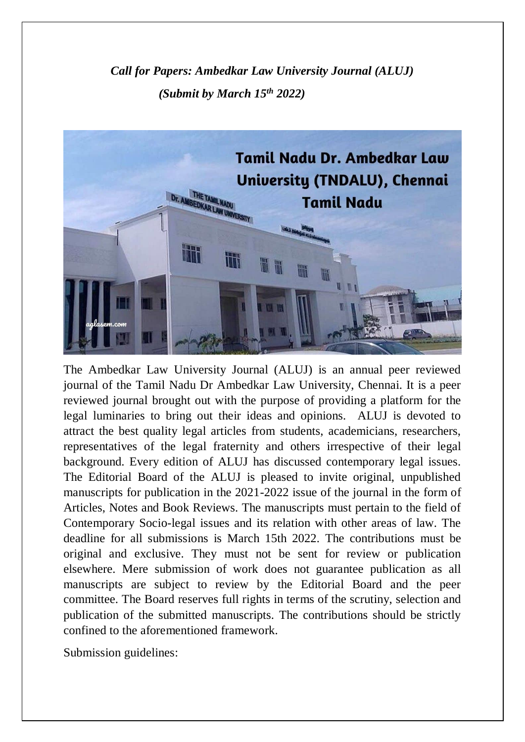*Call for Papers: Ambedkar Law University Journal (ALUJ) (Submit by March 15th 2022)*



The Ambedkar Law University Journal (ALUJ) is an annual peer reviewed journal of the Tamil Nadu Dr Ambedkar Law University, Chennai. It is a peer reviewed journal brought out with the purpose of providing a platform for the legal luminaries to bring out their ideas and opinions. ALUJ is devoted to attract the best quality legal articles from students, academicians, researchers, representatives of the legal fraternity and others irrespective of their legal background. Every edition of ALUJ has discussed contemporary legal issues. The Editorial Board of the ALUJ is pleased to invite original, unpublished manuscripts for publication in the 2021-2022 issue of the journal in the form of Articles, Notes and Book Reviews. The manuscripts must pertain to the field of Contemporary Socio-legal issues and its relation with other areas of law. The deadline for all submissions is March 15th 2022. The contributions must be original and exclusive. They must not be sent for review or publication elsewhere. Mere submission of work does not guarantee publication as all manuscripts are subject to review by the Editorial Board and the peer committee. The Board reserves full rights in terms of the scrutiny, selection and publication of the submitted manuscripts. The contributions should be strictly confined to the aforementioned framework.

Submission guidelines: